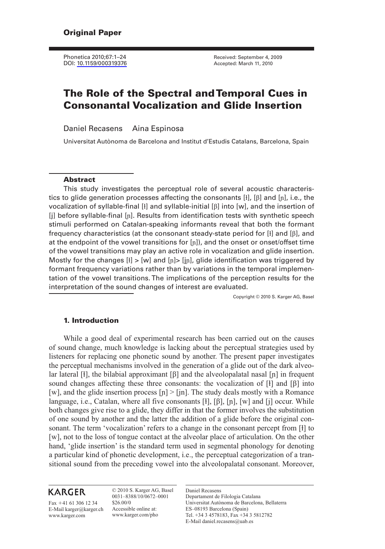Phonetica 2010;67:1–24 <br>
Phonetica 2010;67:1–24 **Received: September 4, 2009**<br>
Accepted: March 11, 2010 DOI: [10.1159/000319376](http://dx.doi.org/10.1159%2F000319376)

# **The Role of the Spectral and Temporal Cues in Consonantal Vocalization and Glide Insertion**

Daniel Recasens Aina Espinosa

Universitat Autònoma de Barcelona and Institut d'Estudis Catalans, Barcelona, Spain

### **Abstract**

This study investigates the perceptual role of several acoustic characteristics to glide generation processes affecting the consonants [ɫ], [β] and [ɲ], i.e., the vocalization of syllable-final [ł] and syllable-initial [β] into [w], and the insertion of [j] before syllable-final [ɲ]. Results from identification tests with synthetic speech stimuli performed on Catalan-speaking informants reveal that both the formant frequency characteristics (at the consonant steady-state period for  $\lbrack 1 \rbrack$  and  $\lbrack 6 \rbrack$ , and at the endpoint of the vowel transitions for  $[n]$ , and the onset or onset/offset time of the vowel transitions may play an active role in vocalization and glide insertion. Mostly for the changes  $[i] > [w]$  and  $[n] > [jn]$ , glide identification was triggered by formant frequency variations rather than by variations in the temporal implementation of the vowel transitions. The implications of the perception results for the interpretation of the sound changes of interest are evaluated.

Copyright © 2010 S. Karger AG, Basel

### **1. Introduction**

While a good deal of experimental research has been carried out on the causes of sound change, much knowledge is lacking about the perceptual strategies used by listeners for replacing one phonetic sound by another. The present paper investigates the perceptual mechanisms involved in the generation of a glide out of the dark alveolar lateral [ɫ], the bilabial approximant [β] and the alveolopalatal nasal [ɲ] in frequent sound changes affecting these three consonants: the vocalization of  $\begin{bmatrix} 1 \end{bmatrix}$  and  $\begin{bmatrix} \beta \end{bmatrix}$  into [w], and the glide insertion process  $[n] > [in]$ . The study deals mostly with a Romance language, i.e., Catalan, where all five consonants  $[\n{a}]$ ,  $[\n{b}]$ ,  $[\n{b}]$ ,  $[w]$  and  $[\n{c}]$  occur. While both changes give rise to a glide, they differ in that the former involves the substitution of one sound by another and the latter the addition of a glide before the original consonant. The term 'vocalization' refers to a change in the consonant percept from [ł] to [w], not to the loss of tongue contact at the alveolar place of articulation. On the other hand, 'glide insertion' is the standard term used in segmental phonology for denoting a particular kind of phonetic development, i.e., the perceptual categorization of a transitional sound from the preceding vowel into the alveolopalatal consonant. Moreover,

# **KARGER**

Fax -41 61 306 12 34 E-Mail karger@karger.ch www.karger.com

© 2010 S. Karger AG, Basel 0031–8388/10/0672–0001 \$26.00/0 Accessible online at: www.karger.com/pho

Daniel Recasens Departament de Filologia Catalana Universitat Autònoma de Barcelona, Bellaterra ES–08193 Barcelona (Spain) Tel. +34 3 4578183, Fax +34 3 5812782 E-Mail daniel.recasens@uab.es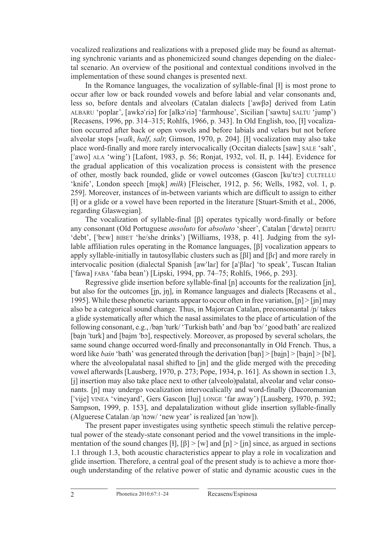vocalized realizations and realizations with a preposed glide may be found as alternating synchronic variants and as phonemicized sound changes depending on the dialectal scenario. An overview of the positional and contextual conditions involved in the implementation of these sound changes is presented next.

In the Romance languages, the vocalization of syllable-final [ɫ] is most prone to occur after low or back rounded vowels and before labial and velar consonants and, less so, before dentals and alveolars (Catalan dialects ['awβə] derived from Latin ALBARU 'poplar', [awkə'riə] for [alkə'riə] 'farmhouse', Sicilian ['sawtu] SALTU 'jump') [Recasens, 1996, pp. 314–315; Rohlfs, 1966, p. 343]. In Old English, too, [ɫ] vocalization occurred after back or open vowels and before labials and velars but not before alveolar stops [*walk*, *half*, *salt*; Gimson, 1970, p. 204]. [ɫ] vocalization may also take place word-finally and more rarely intervocalically (Occitan dialects [saw] SALE 'salt', ['awo] ALA 'wing') [Lafont, 1983, p. 56; Ronjat, 1932, vol. II, p. 144]. Evidence for the gradual application of this vocalization process is consistent with the presence of other, mostly back rounded, glide or vowel outcomes (Gascon [ku'teo] CULTELLU 'knife', London speech [mɪok] *milk*) [Fleischer, 1912, p. 56; Wells, 1982, vol. 1, p. 259]. Moreover, instances of in-between variants which are difficult to assign to either [f] or a glide or a vowel have been reported in the literature [Stuart-Smith et al., 2006, regarding Glaswegian].

The vocalization of syllable-final [β] operates typically word-finally or before any consonant (Old Portuguese *ausoluto* for *absoluto* 'sheer', Catalan ['dɛwtə] DEBITU 'debt', ['bɛw] BIBET 'he/she drinks') [Williams, 1938, p. 41]. Judging from the syllable affiliation rules operating in the Romance languages, [β] vocalization appears to apply syllable-initially in tautosyllabic clusters such as [βl] and [βɾ] and more rarely in intervocalic position (dialectal Spanish [aw'lar] for [a'βlar] 'to speak', Tuscan Italian ['fawa] FABA 'faba bean') [Lipski, 1994, pp. 74-75; Rohlfs, 1966, p. 293].

Regressive glide insertion before syllable-final [n] accounts for the realization [jn], but also for the outcomes [jn, jn], in Romance languages and dialects [Recasens et al., 1995]. While these phonetic variants appear to occur often in free variation,  $[n]$  > [jn] may also be a categorical sound change. Thus, in Majorcan Catalan, preconsonantal /p/ takes a glide systematically after which the nasal assimilates to the place of articulation of the following consonant, e.g., /ban 'turk/ 'Turkish bath' and /ban 'bo/ 'good bath' are realized [bajn 'turk] and [bajm 'bɔ], respectively. Moreover, as proposed by several scholars, the same sound change occurred word-finally and preconsonantally in Old French. Thus, a word like *bain* 'bath' was generated through the derivation [ban] > [bajn] > [bajn] > [b $\tilde{\epsilon}$ ], where the alveolopalatal nasal shifted to [jn] and the glide merged with the preceding vowel afterwards [Lausberg, 1970, p. 273; Pope, 1934, p. 161]. As shown in section 1.3, [j] insertion may also take place next to other (alveolo)palatal, alveolar and velar consonants. [ɲ] may undergo vocalization intervocalically and word-finally (Dacoromanian ['vije] VINEA 'vineyard', Gers Gascon [luj] LONGE 'far away') [Lausberg, 1970, p. 392; Sampson, 1999, p. 153], and depalatalization without glide insertion syllable-finally (Alguerese Catalan /an 'now/ 'new year' is realized [an 'now]).

The present paper investigates using synthetic speech stimuli the relative perceptual power of the steady-state consonant period and the vowel transitions in the implementation of the sound changes  $\lceil \cdot \rceil$ ,  $\lceil \beta \rceil$  >  $\lceil w \rceil$  and  $\lceil n \rceil$  >  $\lceil \cdot \rceil$  since, as argued in sections 1.1 through 1.3, both acoustic characteristics appear to play a role in vocalization and glide insertion. Therefore, a central goal of the present study is to achieve a more thorough understanding of the relative power of static and dynamic acoustic cues in the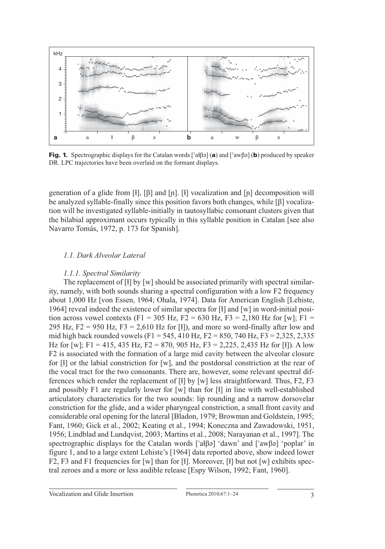

**Fig. 1.** Spectrographic displays for the Catalan words ['ałβə] (a) and ['awβə] (b) produced by speaker DR. LPC trajectories have been overlaid on the formant displays.

generation of a glide from  $[H]$ ,  $[\beta]$  and  $[\eta]$ .  $[H]$  vocalization and  $[\eta]$  decomposition will be analyzed syllable-finally since this position favors both changes, while [β] vocalization will be investigated syllable-initially in tautosyllabic consonant clusters given that the bilabial approximant occurs typically in this syllable position in Catalan [see also Navarro Tomás, 1972, p. 173 for Spanish].

# *1.1. Dark Alveolar Lateral*

# *1.1.1. Spectral Similarity*

The replacement of [ł] by [w] should be associated primarily with spectral similarity, namely, with both sounds sharing a spectral configuration with a low F2 frequency about 1,000 Hz [von Essen, 1964; Ohala, 1974]. Data for American English [Lehiste, 1964] reveal indeed the existence of similar spectra for [ɫ] and [w] in word-initial position across vowel contexts (F1 = 305 Hz, F2 = 630 Hz, F3 = 2,180 Hz for [w]; F1 = 295 Hz,  $F2 = 950$  Hz,  $F3 = 2{,}610$  Hz for  $\{1\}$ , and more so word-finally after low and mid high back rounded vowels (F1 = 545, 410 Hz, F2 = 850, 740 Hz, F3 = 2,325, 2,335 Hz for [w]; F1 = 415, 435 Hz, F2 = 870, 905 Hz, F3 = 2,225, 2,435 Hz for [ł]). A low F2 is associated with the formation of a large mid cavity between the alveolar closure for  $[t]$  or the labial constriction for  $[w]$ , and the postdorsal constriction at the rear of the vocal tract for the two consonants. There are, however, some relevant spectral differences which render the replacement of [ɫ] by [w] less straightforward. Thus, F2, F3 and possibly F1 are regularly lower for [w] than for [ɫ] in line with well-established articulatory characteristics for the two sounds: lip rounding and a narrow dorsovelar constriction for the glide, and a wider pharyngeal constriction, a small front cavity and considerable oral opening for the lateral [Bladon, 1979; Browman and Goldstein, 1995; Fant, 1960; Gick et al., 2002; Keating et al., 1994; Koneczna and Zawadowski, 1951, 1956; Lindblad and Lundqvist, 2003; Martins et al., 2008; Narayanan et al., 1997]. The spectrographic displays for the Catalan words ['ałβə] 'dawn' and ['awβə] 'poplar' in figure 1, and to a large extent Lehiste's [1964] data reported above, show indeed lower F2, F3 and F1 frequencies for [w] than for [ł]. Moreover, [ł] but not [w] exhibits spectral zeroes and a more or less audible release [Espy Wilson, 1992; Fant, 1960].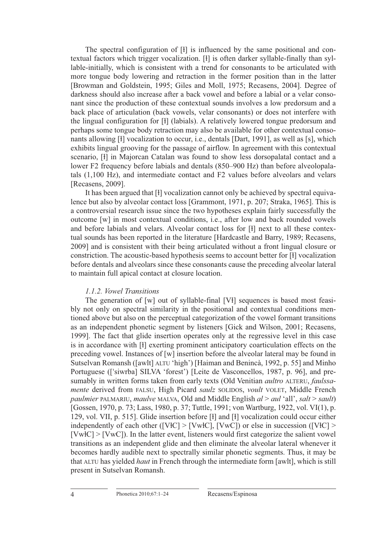The spectral configuration of [ɫ] is influenced by the same positional and contextual factors which trigger vocalization. [ɫ] is often darker syllable-finally than syllable-initially, which is consistent with a trend for consonants to be articulated with more tongue body lowering and retraction in the former position than in the latter [Browman and Goldstein, 1995; Giles and Moll, 1975; Recasens, 2004]. Degree of darkness should also increase after a back vowel and before a labial or a velar consonant since the production of these contextual sounds involves a low predorsum and a back place of articulation (back vowels, velar consonants) or does not interfere with the lingual configuration for [ɫ] (labials). A relatively lowered tongue predorsum and perhaps some tongue body retraction may also be available for other contextual consonants allowing [ɫ] vocalization to occur, i.e., dentals [Dart, 1991], as well as [s], which exhibits lingual grooving for the passage of airflow. In agreement with this contextual scenario, [ɫ] in Majorcan Catalan was found to show less dorsopalatal contact and a lower F2 frequency before labials and dentals (850–900 Hz) than before alveolopalatals (1,100 Hz), and intermediate contact and F2 values before alveolars and velars [Recasens, 2009].

It has been argued that [ɫ] vocalization cannot only be achieved by spectral equivalence but also by alveolar contact loss [Grammont, 1971, p. 207; Straka, 1965]. This is a controversial research issue since the two hypotheses explain fairly successfully the outcome [w] in most contextual conditions, i.e., after low and back rounded vowels and before labials and velars. Alveolar contact loss for [ɫ] next to all these contextual sounds has been reported in the literature [Hardcastle and Barry, 1989; Recasens, 2009] and is consistent with their being articulated without a front lingual closure or constriction. The acoustic-based hypothesis seems to account better for [ɫ] vocalization before dentals and alveolars since these consonants cause the preceding alveolar lateral to maintain full apical contact at closure location.

# *1.1.2. Vowel Transitions*

The generation of [w] out of syllable-final [Vł] sequences is based most feasibly not only on spectral similarity in the positional and contextual conditions mentioned above but also on the perceptual categorization of the vowel formant transitions as an independent phonetic segment by listeners [Gick and Wilson, 2001; Recasens, 1999]. The fact that glide insertion operates only at the regressive level in this case is in accordance with [ɫ] exerting prominent anticipatory coarticulation effects on the preceding vowel. Instances of [w] insertion before the alveolar lateral may be found in Sutselvan Romansh ([awlt] ALTU 'high') [Haiman and Benincà, 1992, p. 55] and Minho Portuguese (['siwrba] SILVA 'forest') [Leite de Vasconcellos, 1987, p. 96], and presumably in written forms taken from early texts (Old Venitian *aultro* ALTERU, *faulssamente* derived from FALSU, High Picard *saulz* SOLIDOS, *voult* VOLET, Middle French *paulmier* PALMARIU, *maulve* MALVA, Old and Middle English *al* > *aul* 'all', *salt* > *sault*) [Gossen, 1970, p. 73; Lass, 1980, p. 37; Tuttle, 1991; von Wartburg, 1922, vol. VI(1), p. 129, vol. VII, p. 515]. Glide insertion before [ɫ] and [ɫ] vocalization could occur either independently of each other ( $[VE] > [Vw1C]$ ,  $[VwC]$ ) or else in succession ( $[VE] >$ [VwłC] > [VwC]). In the latter event, listeners would first categorize the salient vowel transitions as an independent glide and then eliminate the alveolar lateral whenever it becomes hardly audible next to spectrally similar phonetic segments. Thus, it may be that ALTU has yielded *haut* in French through the intermediate form [awlt], which is still present in Sutselvan Romansh.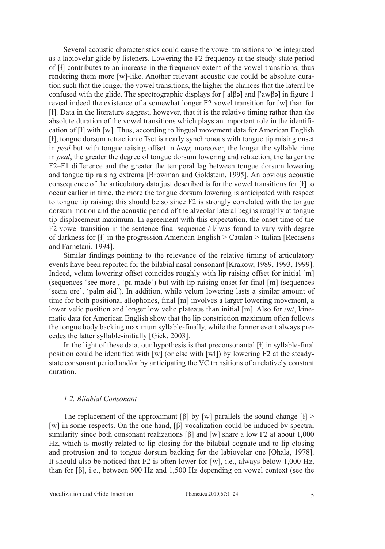Several acoustic characteristics could cause the vowel transitions to be integrated as a labiovelar glide by listeners. Lowering the F2 frequency at the steady-state period of [ɫ] contributes to an increase in the frequency extent of the vowel transitions, thus rendering them more [w]-like. Another relevant acoustic cue could be absolute duration such that the longer the vowel transitions, the higher the chances that the lateral be confused with the glide. The spectrographic displays for ['ałβə] and ['awβə] in figure 1 reveal indeed the existence of a somewhat longer F2 vowel transition for [w] than for [ɫ]. Data in the literature suggest, however, that it is the relative timing rather than the absolute duration of the vowel transitions which plays an important role in the identification of [ɫ] with [w]. Thus, according to lingual movement data for American English [ɫ], tongue dorsum retraction offset is nearly synchronous with tongue tip raising onset in *peal* but with tongue raising offset in *leap*; moreover, the longer the syllable rime in *peal*, the greater the degree of tongue dorsum lowering and retraction, the larger the F2–F1 difference and the greater the temporal lag between tongue dorsum lowering and tongue tip raising extrema [Browman and Goldstein, 1995]. An obvious acoustic consequence of the articulatory data just described is for the vowel transitions for [ɫ] to occur earlier in time, the more the tongue dorsum lowering is anticipated with respect to tongue tip raising; this should be so since F2 is strongly correlated with the tongue dorsum motion and the acoustic period of the alveolar lateral begins roughly at tongue tip displacement maximum. In agreement with this expectation, the onset time of the F2 vowel transition in the sentence-final sequence /il/ was found to vary with degree of darkness for [ɫ] in the progression American English > Catalan > Italian [Recasens and Farnetani, 1994].

Similar findings pointing to the relevance of the relative timing of articulatory events have been reported for the bilabial nasal consonant [Krakow, 1989, 1993, 1999]. Indeed, velum lowering offset coincides roughly with lip raising offset for initial [m] (sequences 'see more', 'pa made') but with lip raising onset for final [m] (sequences 'seem ore', 'palm aid'). In addition, while velum lowering lasts a similar amount of time for both positional allophones, final [m] involves a larger lowering movement, a lower velic position and longer low velic plateaus than initial [m]. Also for /w/, kinematic data for American English show that the lip constriction maximum often follows the tongue body backing maximum syllable-finally, while the former event always precedes the latter syllable-initially [Gick, 2003].

In the light of these data, our hypothesis is that preconsonantal [ɫ] in syllable-final position could be identified with [w] (or else with [wl]) by lowering F2 at the steadystate consonant period and/or by anticipating the VC transitions of a relatively constant duration.

# *1.2. Bilabial Consonant*

The replacement of the approximant  $[\beta]$  by [w] parallels the sound change  $[\frac{1}{2}]$  > [w] in some respects. On the one hand, [β] vocalization could be induced by spectral similarity since both consonant realizations [β] and [w] share a low F2 at about 1,000 Hz, which is mostly related to lip closing for the bilabial cognate and to lip closing and protrusion and to tongue dorsum backing for the labiovelar one [Ohala, 1978]. It should also be noticed that F2 is often lower for [w], i.e., always below 1,000 Hz, than for  $[\beta]$ , i.e., between 600 Hz and 1,500 Hz depending on vowel context (see the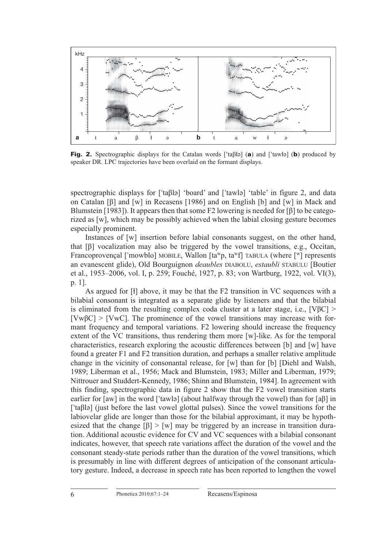

**Fig. 2.** Spectrographic displays for the Catalan words ['taβłə] (a) and ['tawłə] (b) produced by speaker DR. LPC trajectories have been overlaid on the formant displays.

spectrographic displays for ['taβla] 'board' and ['tawla] 'table' in figure 2, and data on Catalan [β] and [w] in Recasens [1986] and on English [b] and [w] in Mack and Blumstein [1983]). It appears then that some F2 lowering is needed for [β] to be categorized as [w], which may be possibly achieved when the labial closing gesture becomes especially prominent.

Instances of [w] insertion before labial consonants suggest, on the other hand, that [β] vocalization may also be triggered by the vowel transitions, e.g., Occitan, Francoprovençal ['mowblo] MOBILE, Wallon [ta<sup>w</sup>p, ta<sup>w</sup>f] TABULA (where [<sup>w</sup>] represents an evanescent glide), Old Bourguignon *deaubles* DIABOLU, *estaubli* STABULU [Boutier et al., 1953–2006, vol. I, p. 259; Fouché, 1927, p. 83; von Wartburg, 1922, vol. VI(3), p. 1].

As argued for [ɫ] above, it may be that the F2 transition in VC sequences with a bilabial consonant is integrated as a separate glide by listeners and that the bilabial is eliminated from the resulting complex coda cluster at a later stage, i.e.,  $[\text{V}\beta\text{C}]$  >  $[Vw\beta C]$  >  $[VwC]$ . The prominence of the vowel transitions may increase with formant frequency and temporal variations. F2 lowering should increase the frequency extent of the VC transitions, thus rendering them more [w]-like. As for the temporal characteristics, research exploring the acoustic differences between [b] and [w] have found a greater F1 and F2 transition duration, and perhaps a smaller relative amplitude change in the vicinity of consonantal release, for [w] than for [b] [Diehl and Walsh, 1989; Liberman et al., 1956; Mack and Blumstein, 1983; Miller and Liberman, 1979; Nittrouer and Studdert-Kennedy, 1986; Shinn and Blumstein, 1984]. In agreement with this finding, spectrographic data in figure 2 show that the F2 vowel transition starts earlier for [aw] in the word ['tawlə] (about halfway through the vowel) than for [aβ] in ['taβlə] (just before the last vowel glottal pulses). Since the vowel transitions for the labiovelar glide are longer than those for the bilabial approximant, it may be hypothesized that the change  $[\beta] > [\text{w}]$  may be triggered by an increase in transition duration. Additional acoustic evidence for CV and VC sequences with a bilabial consonant indicates, however, that speech rate variations affect the duration of the vowel and the consonant steady-state periods rather than the duration of the vowel transitions, which is presumably in line with different degrees of anticipation of the consonant articulatory gesture. Indeed, a decrease in speech rate has been reported to lengthen the vowel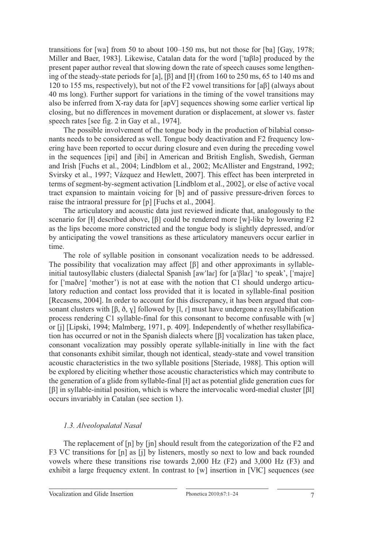transitions for [wa] from 50 to about 100–150 ms, but not those for [ba] [Gay, 1978; Miller and Baer, 1983]. Likewise, Catalan data for the word ['taβla] produced by the present paper author reveal that slowing down the rate of speech causes some lengthening of the steady-state periods for [a],  $\lceil \beta \rceil$  and  $\lceil \frac{1}{2} \rceil$  (from 160 to 250 ms, 65 to 140 ms and 120 to 155 ms, respectively), but not of the F2 vowel transitions for [aβ] (always about 40 ms long). Further support for variations in the timing of the vowel transitions may also be inferred from X-ray data for [apV] sequences showing some earlier vertical lip closing, but no differences in movement duration or displacement, at slower vs. faster speech rates [see fig. 2 in Gay et al., 1974].

The possible involvement of the tongue body in the production of bilabial consonants needs to be considered as well. Tongue body deactivation and F2 frequency lowering have been reported to occur during closure and even during the preceding vowel in the sequences [ipi] and [ibi] in American and British English, Swedish, German and Irish [Fuchs et al., 2004; Lindblom et al., 2002; McAllister and Engstrand, 1992; Svirsky et al., 1997; Vázquez and Hewlett, 2007]. This effect has been interpreted in terms of segment-by-segment activation [Lindblom et al., 2002], or else of active vocal tract expansion to maintain voicing for [b] and of passive pressure-driven forces to raise the intraoral pressure for [p] [Fuchs et al., 2004].

The articulatory and acoustic data just reviewed indicate that, analogously to the scenario for  $\lceil \cdot \rceil$  described above,  $\lceil \cdot \rceil$  could be rendered more  $\lceil w \rceil$ -like by lowering F2 as the lips become more constricted and the tongue body is slightly depressed, and/or by anticipating the vowel transitions as these articulatory maneuvers occur earlier in time.

The role of syllable position in consonant vocalization needs to be addressed. The possibility that vocalization may affect [β] and other approximants in syllableinitial tautosyllabic clusters (dialectal Spanish [aw'lar] for [a'βlar] 'to speak', ['majre] for ['maðre] 'mother') is not at ease with the notion that C1 should undergo articulatory reduction and contact loss provided that it is located in syllable-final position [Recasens, 2004]. In order to account for this discrepancy, it has been argued that consonant clusters with  $[\beta, \delta, \gamma]$  followed by [l, r] must have undergone a resyllabification process rendering C1 syllable-final for this consonant to become confusable with [w] or [j] [Lipski, 1994; Malmberg, 1971, p. 409]. Independently of whether resyllabification has occurred or not in the Spanish dialects where [β] vocalization has taken place, consonant vocalization may possibly operate syllable-initially in line with the fact that consonants exhibit similar, though not identical, steady-state and vowel transition acoustic characteristics in the two syllable positions [Steriade, 1988]. This option will be explored by eliciting whether those acoustic characteristics which may contribute to the generation of a glide from syllable-final [ɫ] act as potential glide generation cues for [β] in syllable-initial position, which is where the intervocalic word-medial cluster [βl] occurs invariably in Catalan (see section 1).

# *1.3. Alveolopalatal Nasal*

The replacement of [ɲ] by [jn] should result from the categorization of the F2 and F3 VC transitions for [ɲ] as [j] by listeners, mostly so next to low and back rounded vowels where these transitions rise towards 2,000 Hz (F2) and 3,000 Hz (F3) and exhibit a large frequency extent. In contrast to [w] insertion in [VɫC] sequences (see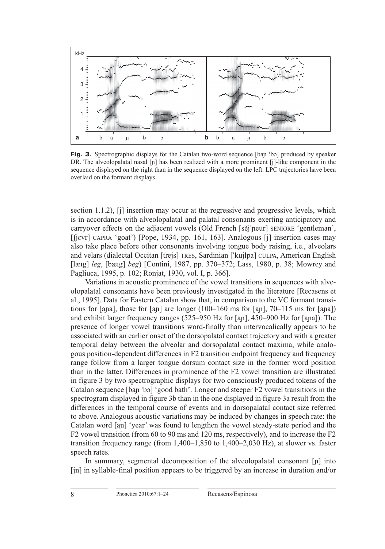

Fig. 3. Spectrographic displays for the Catalan two-word sequence [ban 'bo] produced by speaker DR. The alveolopalatal nasal [ɲ] has been realized with a more prominent [j]-like component in the sequence displayed on the right than in the sequence displayed on the left. LPC trajectories have been overlaid on the formant displays.

section 1.1.2), [j] insertion may occur at the regressive and progressive levels, which is in accordance with alveolopalatal and palatal consonants exerting anticipatory and carryover effects on the adjacent vowels (Old French [sẽj'neur] SENIORE 'gentleman', [ʃjɛvr] CAPRA 'goat') [Pope, 1934, pp. 161, 163]. Analogous [j] insertion cases may also take place before other consonants involving tongue body raising, i.e., alveolars and velars (dialectal Occitan [trejs] TRES, Sardinian ['kujlpa] CULPA, American English [læɪg] *leg*, [bæɪg] *beg*) [Contini, 1987, pp. 370–372; Lass, 1980, p. 38; Mowrey and Pagliuca, 1995, p. 102; Ronjat, 1930, vol. I, p. 366].

Variations in acoustic prominence of the vowel transitions in sequences with alveolopalatal consonants have been previously investigated in the literature [Recasens et al., 1995]. Data for Eastern Catalan show that, in comparison to the VC formant transitions for [ana], those for [an] are longer  $(100-160 \text{ ms}$  for [an],  $70-115 \text{ ms}$  for [ana]) and exhibit larger frequency ranges (525–950 Hz for [aɲ], 450–900 Hz for [aɲa]). The presence of longer vowel transitions word-finally than intervocalically appears to be associated with an earlier onset of the dorsopalatal contact trajectory and with a greater temporal delay between the alveolar and dorsopalatal contact maxima, while analogous position-dependent differences in F2 transition endpoint frequency and frequency range follow from a larger tongue dorsum contact size in the former word position than in the latter. Differences in prominence of the F2 vowel transition are illustrated in figure 3 by two spectrographic displays for two consciously produced tokens of the Catalan sequence [ban 'bo] 'good bath'. Longer and steeper F2 vowel transitions in the spectrogram displayed in figure 3b than in the one displayed in figure 3a result from the differences in the temporal course of events and in dorsopalatal contact size referred to above. Analogous acoustic variations may be induced by changes in speech rate: the Catalan word [aɲ] 'year' was found to lengthen the vowel steady-state period and the F2 vowel transition (from 60 to 90 ms and 120 ms, respectively), and to increase the F2 transition frequency range (from 1,400–1,850 to 1,400–2,030 Hz), at slower vs. faster speech rates.

In summary, segmental decomposition of the alveolopalatal consonant [ɲ] into [jn] in syllable-final position appears to be triggered by an increase in duration and/or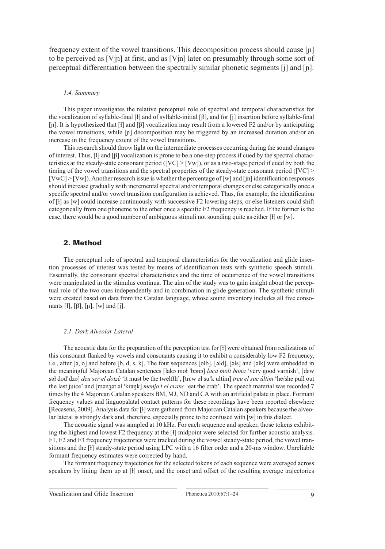frequency extent of the vowel transitions. This decomposition process should cause [ɲ] to be perceived as [Vjɲ] at first, and as [Vjn] later on presumably through some sort of perceptual differentiation between the spectrally similar phonetic segments [j] and [ɲ].

#### *1.4. Summary*

This paper investigates the relative perceptual role of spectral and temporal characteristics for the vocalization of syllable-final [ɫ] and of syllable-initial [β], and for [j] insertion before syllable-final [ɲ]. It is hypothesized that [ɫ] and [β] vocalization may result from a lowered F2 and/or by anticipating the vowel transitions, while  $[n]$  decomposition may be triggered by an increased duration and/or an increase in the frequency extent of the vowel transitions.

This research should throw light on the intermediate processes occurring during the sound changes of interest. Thus, [ɫ] and [β] vocalization is prone to be a one-step process if cued by the spectral characteristics at the steady-state consonant period ( $[VC] > [Vw]$ ), or as a two-stage period if cued by both the timing of the vowel transitions and the spectral properties of the steady-state consonant period ([VC] > [VwC] > [Vw]). Another research issue is whether the percentage of [w] and [jn] identification responses should increase gradually with incremental spectral and/or temporal changes or else categorically once a specific spectral and/or vowel transition configuration is achieved. Thus, for example, the identification of [ɫ] as [w] could increase continuously with successive F2 lowering steps, or else listeners could shift categorically from one phoneme to the other once a specific F2 frequency is reached. If the former is the case, there would be a good number of ambiguous stimuli not sounding quite as either [ɫ] or [w].

### **2. Method**

The perceptual role of spectral and temporal characteristics for the vocalization and glide insertion processes of interest was tested by means of identification tests with synthetic speech stimuli. Essentially, the consonant spectral characteristics and the time of occurrence of the vowel transitions were manipulated in the stimulus continua. The aim of the study was to gain insight about the perceptual role of the two cues independently and in combination in glide generation. The synthetic stimuli were created based on data from the Catalan language, whose sound inventory includes all five consonants  $[1], [1], [n], [w]$  and  $[i].$ 

### *2.1. Dark Alveolar Lateral*

The acoustic data for the preparation of the perception test for [ɫ] were obtained from realizations of this consonant flanked by vowels and consonants causing it to exhibit a considerably low F2 frequency, i.e., after [ə, o] and before [b, d, s, k]. The four sequences [oɫb], [əɫd], [əɫs] and [əɫk] were embedded in the meaningful Majorcan Catalan sentences [lakə mol 'bonə] *laca molt bona* 'very good varnish', [dɛw səɫ dod-dzə] *deu ser el dotzè* 'it must be the twelfth', [tɾɛw əɫ su-k ultim] *treu el suc últim* 'he/she pull out the last juice' and [manʒat al 'kraŋk] *menja't el cranc* 'eat the crab'. The speech material was recorded 7 times by the 4 Majorcan Catalan speakers BM, MJ, ND and CA with an artificial palate in place. Formant frequency values and linguopalatal contact patterns for these recordings have been reported elsewhere [Recasens, 2009]. Analysis data for [ł] were gathered from Majorcan Catalan speakers because the alveolar lateral is strongly dark and, therefore, especially prone to be confused with  $[w]$  in this dialect.

The acoustic signal was sampled at 10 kHz. For each sequence and speaker, those tokens exhibiting the highest and lowest F2 frequency at the [ɫ] midpoint were selected for further acoustic analysis. F1, F2 and F3 frequency trajectories were tracked during the vowel steady-state period, the vowel transitions and the [ł] steady-state period using LPC with a 16 filter order and a 20-ms window. Unreliable formant frequency estimates were corrected by hand.

The formant frequency trajectories for the selected tokens of each sequence were averaged across speakers by lining them up at [ł] onset, and the onset and offset of the resulting average trajectories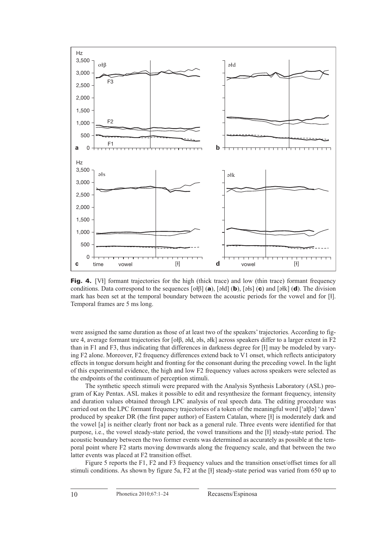

**Fig. 4.** [Vł] formant trajectories for the high (thick trace) and low (thin trace) formant frequency conditions. Data correspond to the sequences [oɫβ] (**a**), [əɫd] (**b**), [əɫs] (**c**) and [əɫk] (**d**). The division mark has been set at the temporal boundary between the acoustic periods for the vowel and for [ɫ]. Temporal frames are 5 ms long.

were assigned the same duration as those of at least two of the speakers' trajectories. According to figure 4, average formant trajectories for [oɫβ, əɫd, əɫs, əɫk] across speakers differ to a larger extent in F2 than in F1 and F3, thus indicating that differences in darkness degree for [ɫ] may be modeled by varying F2 alone. Moreover, F2 frequency differences extend back to V1 onset, which reflects anticipatory effects in tongue dorsum height and fronting for the consonant during the preceding vowel. In the light of this experimental evidence, the high and low F2 frequency values across speakers were selected as the endpoints of the continuum of perception stimuli.

The synthetic speech stimuli were prepared with the Analysis Synthesis Laboratory (ASL) program of Kay Pentax. ASL makes it possible to edit and resynthesize the formant frequency, intensity and duration values obtained through LPC analysis of real speech data. The editing procedure was carried out on the LPC formant frequency trajectories of a token of the meaningful word ['ałβə] 'dawn' produced by speaker DR (the first paper author) of Eastern Catalan, where [ɫ] is moderately dark and the vowel [a] is neither clearly front nor back as a general rule. Three events were identified for that purpose, i.e., the vowel steady-state period, the vowel transitions and the [ɫ] steady-state period. The acoustic boundary between the two former events was determined as accurately as possible at the temporal point where F2 starts moving downwards along the frequency scale, and that between the two latter events was placed at F2 transition offset.

Figure 5 reports the F1, F2 and F3 frequency values and the transition onset/offset times for all stimuli conditions. As shown by figure 5a, F2 at the [ł] steady-state period was varied from 650 up to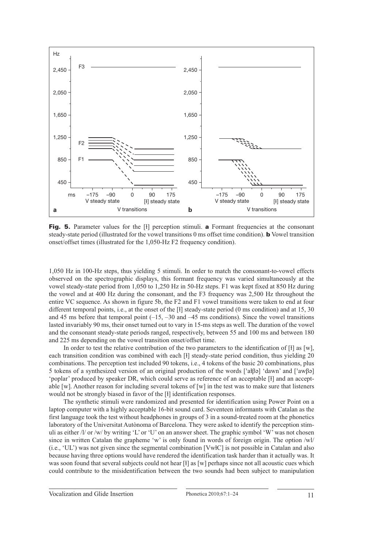

**Fig. 5.** Parameter values for the [i] perception stimuli. **a** Formant frequencies at the consonant steady-state period (illustrated for the vowel transitions 0 ms offset time condition). **b** Vowel transition onset/offset times (illustrated for the 1,050-Hz F2 frequency condition).

1,050 Hz in 100-Hz steps, thus yielding 5 stimuli. In order to match the consonant-to-vowel effects observed on the spectrographic displays, this formant frequency was varied simultaneously at the vowel steady-state period from 1,050 to 1,250 Hz in 50-Hz steps. F1 was kept fixed at 850 Hz during the vowel and at 400 Hz during the consonant, and the F3 frequency was 2,500 Hz throughout the entire VC sequence. As shown in figure 5b, the F2 and F1 vowel transitions were taken to end at four different temporal points, i.e., at the onset of the [ł] steady-state period (0 ms condition) and at 15, 30 and 45 ms before that temporal point  $(-15, -30)$  and  $-45$  ms conditions). Since the vowel transitions lasted invariably 90 ms, their onset turned out to vary in 15-ms steps as well. The duration of the vowel and the consonant steady-state periods ranged, respectively, between 55 and 100 ms and between 180 and 225 ms depending on the vowel transition onset/offset time.

In order to test the relative contribution of the two parameters to the identification of [ɫ] as [w], each transition condition was combined with each [ł] steady-state period condition, thus yielding 20 combinations. The perception test included 90 tokens, i.e., 4 tokens of the basic 20 combinations, plus 5 tokens of a synthesized version of an original production of the words ['ałβə] 'dawn' and ['awβə] 'poplar' produced by speaker DR, which could serve as reference of an acceptable [ɫ] and an acceptable [w]. Another reason for including several tokens of [w] in the test was to make sure that listeners would not be strongly biased in favor of the [ɫ] identification responses.

The synthetic stimuli were randomized and presented for identification using Power Point on a laptop computer with a highly acceptable 16-bit sound card. Seventeen informants with Catalan as the first language took the test without headphones in groups of 3 in a sound-treated room at the phonetics laboratory of the Universitat Autònoma of Barcelona. They were asked to identify the perception stimuli as either /l/ or /w/ by writing 'L' or 'U' on an answer sheet. The graphic symbol 'W' was not chosen since in written Catalan the grapheme 'w' is only found in words of foreign origin. The option /wl/ (i.e., 'UL') was not given since the segmental combination [VwɫC] is not possible in Catalan and also because having three options would have rendered the identification task harder than it actually was. It was soon found that several subjects could not hear [ł] as [w] perhaps since not all acoustic cues which could contribute to the misidentification between the two sounds had been subject to manipulation

Vocalization and Glide Insertion Phonetica 2010;67:1-24 11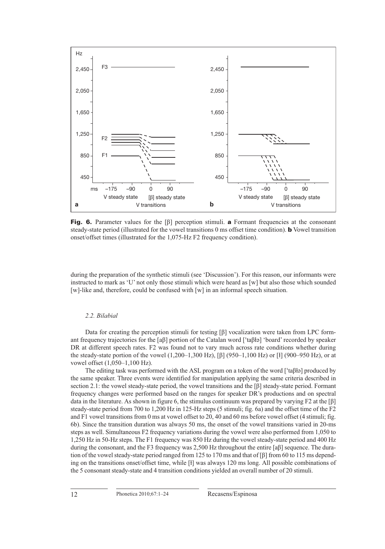

**Fig. 6.** Parameter values for the [β] perception stimuli. **a** Formant frequencies at the consonant steady-state period (illustrated for the vowel transitions 0 ms offset time condition). **b** Vowel transition onset/offset times (illustrated for the 1,075-Hz F2 frequency condition).

during the preparation of the synthetic stimuli (see 'Discussion'). For this reason, our informants were instructed to mark as 'U' not only those stimuli which were heard as [w] but also those which sounded [w]-like and, therefore, could be confused with [w] in an informal speech situation.

#### *2.2. Bilabial*

Data for creating the perception stimuli for testing [β] vocalization were taken from LPC formant frequency trajectories for the [aβ] portion of the Catalan word ['taβłə] 'board' recorded by speaker DR at different speech rates. F2 was found not to vary much across rate conditions whether during the steady-state portion of the vowel  $(1,200-1,300 \text{ Hz})$ ,  $[\beta]$  (950–1,100 Hz) or [ł] (900–950 Hz), or at vowel offset (1,050–1,100 Hz).

The editing task was performed with the ASL program on a token of the word ['taβła] produced by the same speaker. Three events were identified for manipulation applying the same criteria described in section 2.1: the vowel steady-state period, the vowel transitions and the  $[\beta]$  steady-state period. Formant frequency changes were performed based on the ranges for speaker DR's productions and on spectral data in the literature. As shown in figure 6, the stimulus continuum was prepared by varying F2 at the  $\lceil \beta \rceil$ steady-state period from 700 to 1,200 Hz in 125-Hz steps (5 stimuli; fig. 6a) and the offset time of the F2 and F1 vowel transitions from 0 ms at vowel offset to 20, 40 and 60 ms before vowel offset (4 stimuli; fig. 6b). Since the transition duration was always 50 ms, the onset of the vowel transitions varied in 20-ms steps as well. Simultaneous F2 frequency variations during the vowel were also performed from 1,050 to 1,250 Hz in 50-Hz steps. The F1 frequency was 850 Hz during the vowel steady-state period and 400 Hz during the consonant, and the F3 frequency was 2,500 Hz throughout the entire [aβ] sequence. The duration of the vowel steady-state period ranged from 125 to 170 ms and that of [β] from 60 to 115 ms depending on the transitions onset/offset time, while [ɫ] was always 120 ms long. All possible combinations of the 5 consonant steady-state and 4 transition conditions yielded an overall number of 20 stimuli.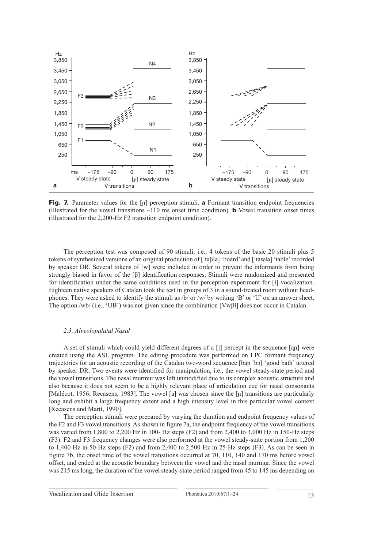

**Fig. 7.** Parameter values for the [n] perception stimuli. **a** Formant transition endpoint frequencies (illustrated for the vowel transitions –110 ms onset time condition). **b** Vowel transition onset times (illustrated for the 2,200-Hz F2 transition endpoint condition).

The perception test was composed of 90 stimuli, i.e., 4 tokens of the basic 20 stimuli plus 5 tokens of synthesized versions of an original production of ['taβłə] 'board' and ['tawłə] 'table' recorded by speaker DR. Several tokens of [w] were included in order to prevent the informants from being strongly biased in favor of the [β] identification responses. Stimuli were randomized and presented for identification under the same conditions used in the perception experiment for [ł] vocalization. Eighteen native speakers of Catalan took the test in groups of 3 in a sound-treated room without headphones. They were asked to identify the stimuli as /b/ or /w/ by writing 'B' or 'U' on an answer sheet. The option /wb/ (i.e., 'UB') was not given since the combination [Vwβł] does not occur in Catalan.

#### *2.3. Alveolopalatal Nasal*

A set of stimuli which could yield different degrees of a [j] percept in the sequence [aɲ] were created using the ASL program. The editing procedure was performed on LPC formant frequency trajectories for an acoustic recording of the Catalan two-word sequence [ban 'bo] 'good bath' uttered by speaker DR. Two events were identified for manipulation, i.e., the vowel steady-state period and the vowel transitions. The nasal murmur was left unmodified due to its complex acoustic structure and also because it does not seem to be a highly relevant place of articulation cue for nasal consonants [Malécot, 1956; Recasens, 1983]. The vowel [a] was chosen since the [p] transitions are particularly long and exhibit a large frequency extent and a high intensity level in this particular vowel context [Recasens and Martí, 1990].

The perception stimuli were prepared by varying the duration and endpoint frequency values of the F2 and F3 vowel transitions. As shown in figure 7a, the endpoint frequency of the vowel transitions was varied from 1,800 to 2,200 Hz in 100- Hz steps (F2) and from 2,400 to 3,000 Hz in 150-Hz steps (F3). F2 and F3 frequency changes were also performed at the vowel steady-state portion from 1,200 to 1,400 Hz in 50-Hz steps (F2) and from 2,400 to 2,500 Hz in 25-Hz steps (F3). As can be seen in figure 7b, the onset time of the vowel transitions occurred at 70, 110, 140 and 170 ms before vowel offset, and ended at the acoustic boundary between the vowel and the nasal murmur. Since the vowel was 215 ms long, the duration of the vowel steady-state period ranged from 45 to 145 ms depending on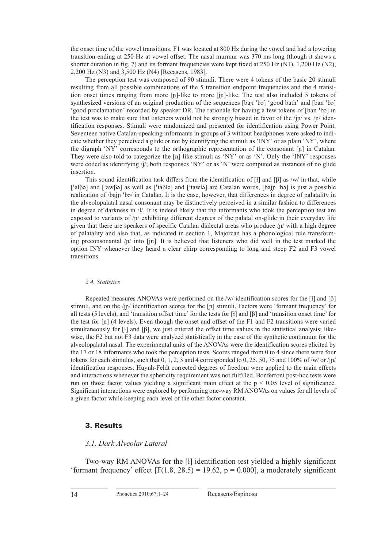the onset time of the vowel transitions. F1 was located at 800 Hz during the vowel and had a lowering transition ending at 250 Hz at vowel offset. The nasal murmur was 370 ms long (though it shows a shorter duration in fig. 7) and its formant frequencies were kept fixed at 250 Hz (N1), 1,200 Hz (N2), 2,200 Hz (N3) and 3,500 Hz (N4) [Recasens, 1983].

The perception test was composed of 90 stimuli. There were 4 tokens of the basic 20 stimuli resulting from all possible combinations of the 5 transition endpoint frequencies and the 4 transition onset times ranging from more [ɲ]-like to more [jɲ]-like. The test also included 5 tokens of synthesized versions of an original production of the sequences [ban 'bo] 'good bath' and [ban 'bo] 'good proclamation' recorded by speaker DR. The rationale for having a few tokens of [ban 'bo] in the test was to make sure that listeners would not be strongly biased in favor of the  $/jn/ vs. /n/$  identification responses. Stimuli were randomized and presented for identification using Power Point. Seventeen native Catalan-speaking informants in groups of 3 without headphones were asked to indicate whether they perceived a glide or not by identifying the stimuli as 'INY' or as plain 'NY', where the digraph 'NY' corresponds to the orthographic representation of the consonant [ɲ] in Catalan. They were also told to categorize the [n]-like stimuli as 'NY' or as 'N'. Only the 'INY' responses were coded as identifying  $\frac{1}{i}$ ; both responses 'NY' or as 'N' were computed as instances of no glide insertion.

This sound identification task differs from the identification of  $\lceil \frac{1}{2} \rceil$  and  $\lceil \frac{\beta}{2} \rceil$  as /w/ in that, while ['ałβə] and ['awβə] as well as ['taβłə] and ['tawłə] are Catalan words, [bajn 'bɔ] is just a possible realization of /bajn 'bɔ/ in Catalan. It is the case, however, that differences in degree of palatality in the alveolopalatal nasal consonant may be distinctively perceived in a similar fashion to differences in degree of darkness in /l/. It is indeed likely that the informants who took the perception test are exposed to variants of  $/p$  exhibiting different degrees of the palatal on-glide in their everyday life given that there are speakers of specific Catalan dialectal areas who produce  $/p$  with a high degree of palatality and also that, as indicated in section 1, Majorcan has a phonological rule transforming preconsonantal  $/p/$  into [jn]. It is believed that listeners who did well in the test marked the option INY whenever they heard a clear chirp corresponding to long and steep F2 and F3 vowel transitions.

#### *2.4. Statistics*

Repeated measures ANOVAs were performed on the /w/ identification scores for the [ɫ] and [β] stimuli, and on the  $/ip/$  identification scores for the  $[p]$  stimuli. Factors were 'formant frequency' for all tests (5 levels), and 'transition offset time' for the tests for  $[H]$  and  $[\beta]$  and 'transition onset time' for the test for [ɲ] (4 levels). Even though the onset and offset of the F1 and F2 transitions were varied simultaneously for [ɫ] and [β], we just entered the offset time values in the statistical analysis; likewise, the F2 but not F3 data were analyzed statistically in the case of the synthetic continuum for the alveolopalatal nasal. The experimental units of the ANOVAs were the identification scores elicited by the 17 or 18 informants who took the perception tests. Scores ranged from 0 to 4 since there were four tokens for each stimulus, such that  $0, 1, 2, 3$  and 4 corresponded to  $0, 25, 50, 75$  and  $100\%$  of /w/ or /jn/ identification responses. Huynh-Feldt corrected degrees of freedom were applied to the main effects and interactions whenever the sphericity requirement was not fulfilled. Bonferroni post-hoc tests were run on those factor values yielding a significant main effect at the  $p < 0.05$  level of significance. Significant interactions were explored by performing one-way RM ANOVAs on values for all levels of a given factor while keeping each level of the other factor constant.

### **3. Results**

### *3.1. Dark Alveolar Lateral*

Two-way RM ANOVAs for the [ɫ] identification test yielded a highly significant 'formant frequency' effect  $[F(1.8, 28.5) = 19.62, p = 0.000]$ , a moderately significant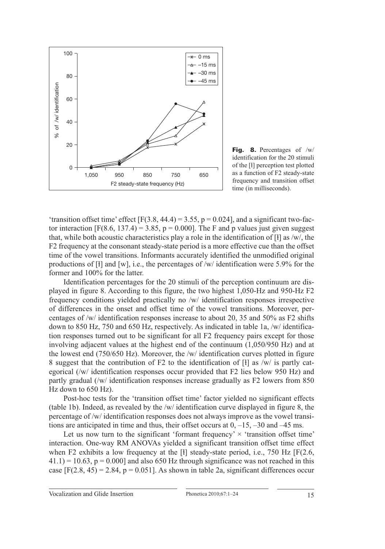

**Fig. 8.** Percentages of /w/ identification for the 20 stimuli of the [ɫ] perception test plotted as a function of F2 steady-state frequency and transition offset time (in milliseconds).

'transition offset time' effect  $[F(3.8, 44.4) = 3.55, p = 0.024]$ , and a significant two-factor interaction  $[F(8.6, 137.4) = 3.85, p = 0.000]$ . The F and p values just given suggest that, while both acoustic characteristics play a role in the identification of  $\left[\frac{1}{1}\right]$  as /w/, the F2 frequency at the consonant steady-state period is a more effective cue than the offset time of the vowel transitions. Informants accurately identified the unmodified original productions of [ɫ] and [w], i.e., the percentages of /w/ identification were 5.9% for the former and 100% for the latter.

Identification percentages for the 20 stimuli of the perception continuum are displayed in figure 8. According to this figure, the two highest 1,050-Hz and 950-Hz F2 frequency conditions yielded practically no /w/ identification responses irrespective of differences in the onset and offset time of the vowel transitions. Moreover, percentages of /w/ identification responses increase to about 20, 35 and 50% as F2 shifts down to 850 Hz, 750 and 650 Hz, respectively. As indicated in table 1a, /w/ identification responses turned out to be significant for all F2 frequency pairs except for those involving adjacent values at the highest end of the continuum (1,050/950 Hz) and at the lowest end (750/650 Hz). Moreover, the /w/ identification curves plotted in figure 8 suggest that the contribution of F2 to the identification of [ɫ] as /w/ is partly categorical (/w/ identification responses occur provided that F2 lies below 950 Hz) and partly gradual (/w/ identification responses increase gradually as F2 lowers from 850 Hz down to 650 Hz).

Post-hoc tests for the 'transition offset time' factor yielded no significant effects (table 1b). Indeed, as revealed by the /w/ identification curve displayed in figure 8, the percentage of /w/ identification responses does not always improve as the vowel transitions are anticipated in time and thus, their offset occurs at  $0, -15, -30$  and  $-45$  ms.

Let us now turn to the significant 'formant frequency'  $\times$  'transition offset time' interaction. One-way RM ANOVAs yielded a significant transition offset time effect when F2 exhibits a low frequency at the  $[H]$  steady-state period, i.e., 750 Hz  $[F(2.6,$  $(41.1) = 10.63$ ,  $p = 0.000$ ] and also 650 Hz through significance was not reached in this case  $[F(2.8, 45) = 2.84, p = 0.051]$ . As shown in table 2a, significant differences occur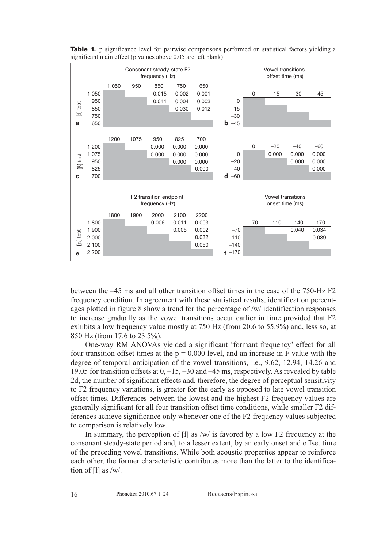| --- <i>----- -------</i> ----- - <sub>\</sub> r |                                          |       |      |       |       |       |                                              |                                             |        |        |        |
|-------------------------------------------------|------------------------------------------|-------|------|-------|-------|-------|----------------------------------------------|---------------------------------------------|--------|--------|--------|
| Consonant steady-state F2<br>frequency (Hz)     |                                          |       |      |       |       |       | <b>Vowel transitions</b><br>offset time (ms) |                                             |        |        |        |
|                                                 |                                          | 1,050 | 950  | 850   | 750   | 650   |                                              |                                             |        |        |        |
|                                                 | 1,050                                    |       |      | 0.015 | 0.002 | 0.001 |                                              | 0                                           | $-15$  | $-30$  | $-45$  |
|                                                 | 950                                      |       |      | 0.041 | 0.004 | 0.003 | 0                                            |                                             |        |        |        |
| [ł] test                                        | 850                                      |       |      |       | 0.030 | 0.012 | $-15$                                        |                                             |        |        |        |
|                                                 | 750                                      |       |      |       |       |       | $-30$                                        |                                             |        |        |        |
| a                                               | 650                                      |       |      |       |       |       | $b -45$                                      |                                             |        |        |        |
|                                                 |                                          |       |      |       |       |       |                                              |                                             |        |        |        |
|                                                 |                                          | 1200  | 1075 | 950   | 825   | 700   |                                              |                                             |        |        |        |
|                                                 | 1,200                                    |       |      | 0.000 | 0.000 | 0.000 |                                              | $\mathbf 0$                                 | $-20$  | $-40$  | $-60$  |
|                                                 | 1,075                                    |       |      | 0.000 | 0.000 | 0.000 | $\mathbf 0$                                  |                                             | 0.000  | 0.000  | 0.000  |
| [ß] test                                        | 950                                      |       |      |       | 0.000 | 0.000 | $-20$                                        |                                             |        | 0.000  | 0.000  |
|                                                 | 825                                      |       |      |       |       | 0.000 | $-40$                                        |                                             |        |        | 0.000  |
| C                                               | 700                                      |       |      |       |       |       | $d - 60$                                     |                                             |        |        |        |
|                                                 |                                          |       |      |       |       |       |                                              |                                             |        |        |        |
|                                                 |                                          |       |      |       |       |       |                                              |                                             |        |        |        |
|                                                 | F2 transition endpoint<br>frequency (Hz) |       |      |       |       |       |                                              | <b>Vowel transitions</b><br>onset time (ms) |        |        |        |
|                                                 |                                          |       |      |       |       |       |                                              |                                             |        |        |        |
|                                                 |                                          | 1800  | 1900 | 2000  | 2100  | 2200  |                                              |                                             |        |        |        |
|                                                 | 1,800                                    |       |      | 0.006 | 0.011 | 0.003 |                                              | $-70$                                       | $-110$ | $-140$ | $-170$ |
|                                                 | 1,900                                    |       |      |       | 0.005 | 0.002 | $-70$                                        |                                             |        | 0.040  | 0.034  |
| [n] test                                        | 2,000                                    |       |      |       |       | 0.032 | $-110$                                       |                                             |        |        | 0.039  |
|                                                 | 2,100                                    |       |      |       |       | 0.050 | $-140$                                       |                                             |        |        |        |
| e                                               | 2,200                                    |       |      |       |       |       | $-170$<br>f                                  |                                             |        |        |        |
|                                                 |                                          |       |      |       |       |       |                                              |                                             |        |        |        |

**Table 1.** p significance level for pairwise comparisons performed on statistical factors vielding a significant main effect (p values above  $0.05$  are left blank)

between the –45 ms and all other transition offset times in the case of the 750-Hz F2 frequency condition. In agreement with these statistical results, identification percentages plotted in figure 8 show a trend for the percentage of /w/ identification responses to increase gradually as the vowel transitions occur earlier in time provided that F2 exhibits a low frequency value mostly at 750 Hz (from 20.6 to 55.9%) and, less so, at 850 Hz (from 17.6 to 23.5%).

One-way RM ANOVAs yielded a significant 'formant frequency' effect for all four transition offset times at the  $p = 0.000$  level, and an increase in F value with the degree of temporal anticipation of the vowel transitions, i.e., 9.62, 12.94, 14.26 and 19.05 for transition offsets at 0, –15, –30 and –45 ms, respectively. As revealed by table 2d, the number of significant effects and, therefore, the degree of perceptual sensitivity to F2 frequency variations, is greater for the early as opposed to late vowel transition offset times. Differences between the lowest and the highest F2 frequency values are generally significant for all four transition offset time conditions, while smaller F2 differences achieve significance only whenever one of the F2 frequency values subjected to comparison is relatively low.

In summary, the perception of  $\begin{bmatrix} 1 \end{bmatrix}$  as /w/ is favored by a low F2 frequency at the consonant steady-state period and, to a lesser extent, by an early onset and offset time of the preceding vowel transitions. While both acoustic properties appear to reinforce each other, the former characteristic contributes more than the latter to the identification of [ɫ] as /w/.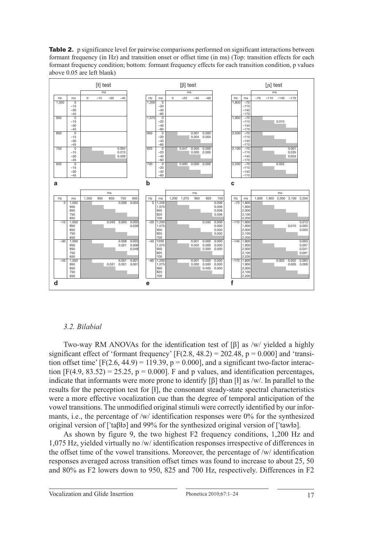Table 2. p significance level for pairwise comparisons performed on significant interactions between formant frequency (in Hz) and transition onset or offset time (in ms) (Top: transition effects for each formant frequency condition; bottom: formant frequency effects for each transition condition, p values above 0.05 are left blank)



# *3.2. Bilabial*

Two-way RM ANOVAs for the identification test of [β] as /w/ yielded a highly significant effect of 'formant frequency'  $[F(2.8, 48.2) = 202.48, p = 0.000]$  and 'transition offset time'  $[F(2.6, 44.9) = 119.39, p = 0.000]$ , and a significant two-factor interaction  $[F(4.9, 83.52) = 25.25, p = 0.000]$ . F and p values, and identification percentages, indicate that informants were more prone to identify  $\lceil \beta \rceil$  than  $\lceil \frac{1}{\beta} \rceil$  as /w/. In parallel to the results for the perception test for [ɫ], the consonant steady-state spectral characteristics were a more effective vocalization cue than the degree of temporal anticipation of the vowel transitions. The unmodified original stimuli were correctly identified by our informants, i.e., the percentage of /w/ identification responses were 0% for the synthesized original version of ['taβłǝ] and 99% for the synthesized original version of ['tawłǝ].

As shown by figure 9, the two highest F2 frequency conditions, 1,200 Hz and 1,075 Hz, yielded virtually no /w/ identification responses irrespective of differences in the offset time of the vowel transitions. Moreover, the percentage of /w/ identification responses averaged across transition offset times was found to increase to about 25, 50 and 80% as F2 lowers down to 950, 825 and 700 Hz, respectively. Differences in F2

Vocalization and Glide Insertion Phonetica 2010;67:1-24 17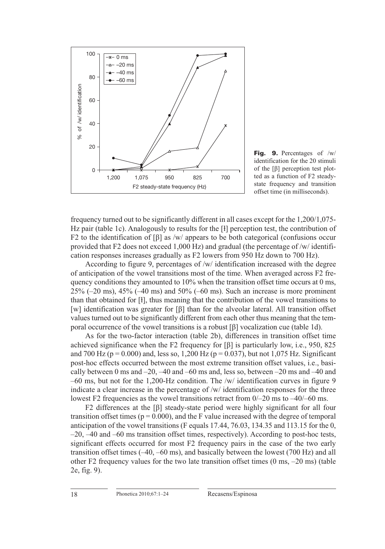

**Fig. 9.** Percentages of /w/ identification for the 20 stimuli of the [β] perception test plotted as a function of F2 steadystate frequency and transition offset time (in milliseconds).

frequency turned out to be significantly different in all cases except for the 1,200/1,075- Hz pair (table 1c). Analogously to results for the [ɫ] perception test, the contribution of F2 to the identification of  $[\beta]$  as /w/ appears to be both categorical (confusions occur provided that F2 does not exceed 1,000 Hz) and gradual (the percentage of /w/ identification responses increases gradually as F2 lowers from 950 Hz down to 700 Hz).

According to figure 9, percentages of /w/ identification increased with the degree of anticipation of the vowel transitions most of the time. When averaged across F2 frequency conditions they amounted to 10% when the transition offset time occurs at 0 ms,  $25\%$  ( $-20$  ms),  $45\%$  ( $-40$  ms) and  $50\%$  ( $-60$  ms). Such an increase is more prominent than that obtained for [ɫ], thus meaning that the contribution of the vowel transitions to [w] identification was greater for [β] than for the alveolar lateral. All transition offset values turned out to be significantly different from each other thus meaning that the temporal occurrence of the vowel transitions is a robust [β] vocalization cue (table 1d).

As for the two-factor interaction (table 2b), differences in transition offset time achieved significance when the F2 frequency for  $[\beta]$  is particularly low, i.e., 950, 825 and 700 Hz ( $p = 0.000$ ) and, less so, 1,200 Hz ( $p = 0.037$ ), but not 1,075 Hz. Significant post-hoc effects occurred between the most extreme transition offset values, i.e., basically between 0 ms and –20, –40 and –60 ms and, less so, between –20 ms and –40 and –60 ms, but not for the 1,200-Hz condition. The /w/ identification curves in figure 9 indicate a clear increase in the percentage of  $/w/$  identification responses for the three lowest F2 frequencies as the vowel transitions retract from  $0/-20$  ms to  $-40/-60$  ms.

F2 differences at the [β] steady-state period were highly significant for all four transition offset times ( $p = 0.000$ ), and the F value increased with the degree of temporal anticipation of the vowel transitions (F equals 17.44, 76.03, 134.35 and 113.15 for the 0, –20, –40 and –60 ms transition offset times, respectively). According to post-hoc tests, significant effects occurred for most F2 frequency pairs in the case of the two early transition offset times (–40, –60 ms), and basically between the lowest (700 Hz) and all other F2 frequency values for the two late transition offset times (0 ms, –20 ms) (table 2e, fig. 9).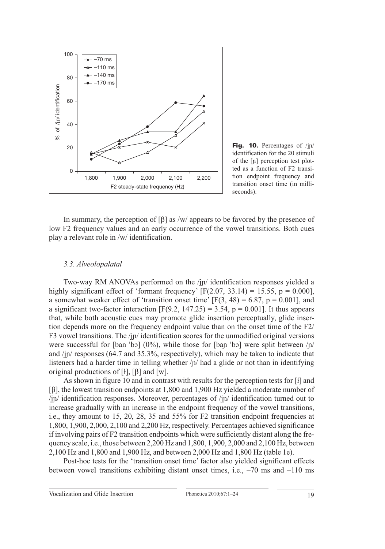

**Fig. 10.** Percentages of /jɲ/ identification for the 20 stimuli of the [ɲ] perception test plotted as a function of F2 transition endpoint frequency and transition onset time (in milliseconds).

In summary, the perception of  $\beta$  as /w/ appears to be favored by the presence of low F2 frequency values and an early occurrence of the vowel transitions. Both cues play a relevant role in /w/ identification.

### *3.3. Alveolopalatal*

Two-way RM ANOVAs performed on the /jɲ/ identification responses yielded a highly significant effect of 'formant frequency'  $[F(2.07, 33.14) = 15.55, p = 0.000]$ , a somewhat weaker effect of 'transition onset time'  $[F(3, 48) = 6.87, p = 0.001]$ , and a significant two-factor interaction  $[F(9.2, 147.25) = 3.54$ ,  $p = 0.001$ . It thus appears that, while both acoustic cues may promote glide insertion perceptually, glide insertion depends more on the frequency endpoint value than on the onset time of the F2/ F3 vowel transitions. The  $/$ jn $/$  identification scores for the unmodified original versions were successful for [ban 'bo] (0%), while those for [ban 'bo] were split between /p/ and /jɲ/ responses (64.7 and 35.3%, respectively), which may be taken to indicate that listeners had a harder time in telling whether  $/p/$  had a glide or not than in identifying original productions of [ɬ],  $[β]$  and  $[w]$ . **Example 1998**<br>  $\frac{3}{2}$  and<br>  $\frac{3}{2}$  and<br>  $\frac{1}{2}$  and<br>  $\frac{1}{2}$  and<br>  $\frac{1}{2}$  and<br>  $\frac{1}{2}$  and<br>  $\frac{1}{2}$  and<br>  $\frac{1}{2}$  and<br>  $\frac{1}{2}$  and<br>  $\frac{1}{2}$  and<br>  $\frac{1}{2}$  and<br>  $\frac{1}{2}$  and<br>  $\frac{1}{2}$  and<br>  $\frac{1}{2}$ 

As shown in figure 10 and in contrast with results for the perception tests for [ɫ] and [β], the lowest transition endpoints at 1,800 and 1,900 Hz yielded a moderate number of /jɲ/ identification responses. Moreover, percentages of /jɲ/ identification turned out to increase gradually with an increase in the endpoint frequency of the vowel transitions, i.e., they amount to 15, 20, 28, 35 and 55% for F2 transition endpoint frequencies at 1,800, 1,900, 2,000, 2,100 and 2,200 Hz, respectively. Percentages achieved significance if involving pairs of F2 transition endpoints which were sufficiently distant along the frequency scale, i.e., those between 2,200 Hz and 1,800, 1,900, 2,000 and 2,100 Hz, between 2,100 Hz and 1,800 and 1,900 Hz, and between 2,000 Hz and 1,800 Hz (table 1e).

Post-hoc tests for the 'transition onset time' factor also yielded significant effects

Vocalization and Glide Insertion Phonetica 2010;67:1-24 19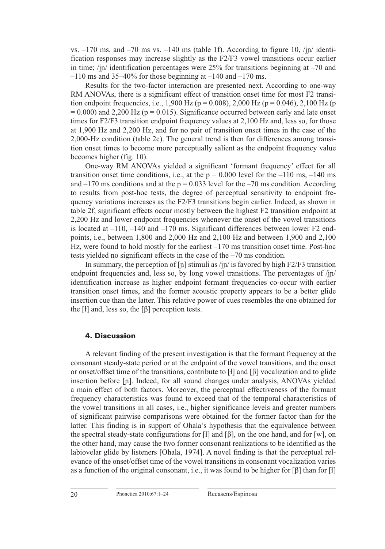vs.  $-170$  ms, and  $-70$  ms vs.  $-140$  ms (table 1f). According to figure 10, /jn/ identification responses may increase slightly as the F2/F3 vowel transitions occur earlier in time;  $\pi/\eta$  identification percentages were 25% for transitions beginning at  $-70$  and  $-110$  ms and 35–40% for those beginning at  $-140$  and  $-170$  ms.

Results for the two-factor interaction are presented next. According to one-way RM ANOVAs, there is a significant effect of transition onset time for most F2 transition endpoint frequencies, i.e., 1,900 Hz (p = 0.008), 2,000 Hz (p = 0.046), 2,100 Hz (p  $= 0.000$ ) and 2,200 Hz ( $p = 0.015$ ). Significance occurred between early and late onset times for F2/F3 transition endpoint frequency values at 2,100 Hz and, less so, for those at 1,900 Hz and 2,200 Hz, and for no pair of transition onset times in the case of the 2,000-Hz condition (table 2c). The general trend is then for differences among transition onset times to become more perceptually salient as the endpoint frequency value becomes higher (fig. 10).

One-way RM ANOVAs yielded a significant 'formant frequency' effect for all transition onset time conditions, i.e., at the  $p = 0.000$  level for the  $-110$  ms,  $-140$  ms and  $-170$  ms conditions and at the  $p = 0.033$  level for the  $-70$  ms condition. According to results from post-hoc tests, the degree of perceptual sensitivity to endpoint frequency variations increases as the F2/F3 transitions begin earlier. Indeed, as shown in table 2f, significant effects occur mostly between the highest F2 transition endpoint at 2,200 Hz and lower endpoint frequencies whenever the onset of the vowel transitions is located at –110, –140 and –170 ms. Significant differences between lower F2 endpoints, i.e., between 1,800 and 2,000 Hz and 2,100 Hz and between 1,900 and 2,100 Hz, were found to hold mostly for the earliest –170 ms transition onset time. Post-hoc tests yielded no significant effects in the case of the –70 ms condition.

In summary, the perception of  $[n]$  stimuli as  $/ip/$  is favored by high F2/F3 transition endpoint frequencies and, less so, by long vowel transitions. The percentages of /jn/ identification increase as higher endpoint formant frequencies co-occur with earlier transition onset times, and the former acoustic property appears to be a better glide insertion cue than the latter. This relative power of cues resembles the one obtained for the  $[t]$  and, less so, the  $[\beta]$  perception tests.

# **4. Discussion**

A relevant finding of the present investigation is that the formant frequency at the consonant steady-state period or at the endpoint of the vowel transitions, and the onset or onset/offset time of the transitions, contribute to [ɫ] and [β] vocalization and to glide insertion before [ɲ]. Indeed, for all sound changes under analysis, ANOVAs yielded a main effect of both factors. Moreover, the perceptual effectiveness of the formant frequency characteristics was found to exceed that of the temporal characteristics of the vowel transitions in all cases, i.e., higher significance levels and greater numbers of significant pairwise comparisons were obtained for the former factor than for the latter. This finding is in support of Ohala's hypothesis that the equivalence between the spectral steady-state configurations for  $\lceil \cdot \rceil$  and  $\lceil \cdot \rceil$ , on the one hand, and for  $\lceil w \rceil$ , on the other hand, may cause the two former consonant realizations to be identified as the labiovelar glide by listeners [Ohala, 1974]. A novel finding is that the perceptual relevance of the onset/offset time of the vowel transitions in consonant vocalization varies as a function of the original consonant, i.e., it was found to be higher for [β] than for [ɫ]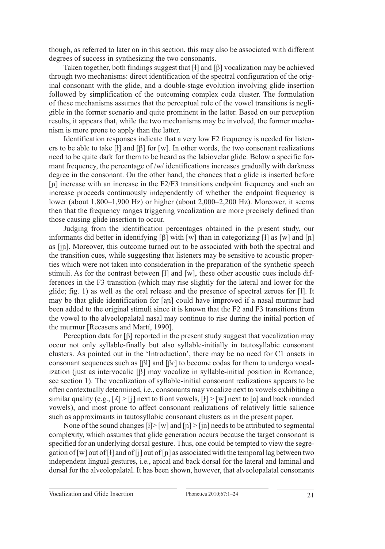though, as referred to later on in this section, this may also be associated with different degrees of success in synthesizing the two consonants.

Taken together, both findings suggest that [ɫ] and [β] vocalization may be achieved through two mechanisms: direct identification of the spectral configuration of the original consonant with the glide, and a double-stage evolution involving glide insertion followed by simplification of the outcoming complex coda cluster. The formulation of these mechanisms assumes that the perceptual role of the vowel transitions is negligible in the former scenario and quite prominent in the latter. Based on our perception results, it appears that, while the two mechanisms may be involved, the former mechanism is more prone to apply than the latter.

Identification responses indicate that a very low F2 frequency is needed for listeners to be able to take [ɫ] and [β] for [w]. In other words, the two consonant realizations need to be quite dark for them to be heard as the labiovelar glide. Below a specific formant frequency, the percentage of /w/ identifications increases gradually with darkness degree in the consonant. On the other hand, the chances that a glide is inserted before [n] increase with an increase in the F2/F3 transitions endpoint frequency and such an increase proceeds continuously independently of whether the endpoint frequency is lower (about 1,800–1,900 Hz) or higher (about 2,000–2,200 Hz). Moreover, it seems then that the frequency ranges triggering vocalization are more precisely defined than those causing glide insertion to occur.

Judging from the identification percentages obtained in the present study, our informants did better in identifying [β] with [w] than in categorizing [ɫ] as [w] and [ɲ] as [jɲ]. Moreover, this outcome turned out to be associated with both the spectral and the transition cues, while suggesting that listeners may be sensitive to acoustic properties which were not taken into consideration in the preparation of the synthetic speech stimuli. As for the contrast between [ɫ] and [w], these other acoustic cues include differences in the F3 transition (which may rise slightly for the lateral and lower for the glide; fig. 1) as well as the oral release and the presence of spectral zeroes for [ɫ]. It may be that glide identification for [aɲ] could have improved if a nasal murmur had been added to the original stimuli since it is known that the F2 and F3 transitions from the vowel to the alveolopalatal nasal may continue to rise during the initial portion of the murmur [Recasens and Martí, 1990].

Perception data for  $\lceil \beta \rceil$  reported in the present study suggest that vocalization may occur not only syllable-finally but also syllable-initially in tautosyllabic consonant clusters. As pointed out in the 'Introduction', there may be no need for C1 onsets in consonant sequences such as [βl] and [βɾ] to become codas for them to undergo vocalization (just as intervocalic [β] may vocalize in syllable-initial position in Romance; see section 1). The vocalization of syllable-initial consonant realizations appears to be often contextually determined, i.e., consonants may vocalize next to vowels exhibiting a similar quality (e.g.,  $\lceil \Lambda \rceil$  > [j] next to front vowels,  $\lceil \frac{1}{\ell} \rceil$  \[N] next to [a] and back rounded vowels), and most prone to affect consonant realizations of relatively little salience such as approximants in tautosyllabic consonant clusters as in the present paper.

None of the sound changes  $\lceil \frac{1}{2} \rceil$  and  $\lceil \frac{n}{2} \rceil$  and  $\lceil \frac{n}{2} \rceil$  needs to be attributed to segmental complexity, which assumes that glide generation occurs because the target consonant is specified for an underlying dorsal gesture. Thus, one could be tempted to view the segregation of [w] out of [ł] and of [j] out of [n] as associated with the temporal lag between two independent lingual gestures, i.e., apical and back dorsal for the lateral and laminal and dorsal for the alveolopalatal. It has been shown, however, that alveolopalatal consonants

Vocalization and Glide Insertion Phonetica 2010;67:1-24 21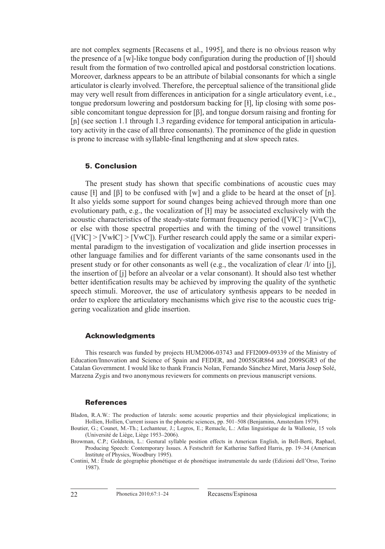are not complex segments [Recasens et al., 1995], and there is no obvious reason why the presence of a [w]-like tongue body configuration during the production of [ɫ] should result from the formation of two controlled apical and postdorsal constriction locations. Moreover, darkness appears to be an attribute of bilabial consonants for which a single articulator is clearly involved. Therefore, the perceptual salience of the transitional glide may very well result from differences in anticipation for a single articulatory event, i.e., tongue predorsum lowering and postdorsum backing for [ɫ], lip closing with some possible concomitant tongue depression for [β], and tongue dorsum raising and fronting for [n] (see section 1.1 through 1.3 regarding evidence for temporal anticipation in articulatory activity in the case of all three consonants). The prominence of the glide in question is prone to increase with syllable-final lengthening and at slow speech rates.

# **5. Conclusion**

The present study has shown that specific combinations of acoustic cues may cause  $\lceil \cdot \rceil$  and  $\lceil \cdot \rceil$  to be confused with  $\lceil w \rceil$  and a glide to be heard at the onset of  $\lceil n \rceil$ . It also yields some support for sound changes being achieved through more than one evolutionary path, e.g., the vocalization of [ɫ] may be associated exclusively with the acoustic characteristics of the steady-state formant frequency period ( $[V<sup>i</sup>C] > [V<sup>w</sup>C]$ ), or else with those spectral properties and with the timing of the vowel transitions  $(V<sup>i</sup>C) > [V<sub>W</sub>C] > [V<sub>W</sub>C]$ . Further research could apply the same or a similar experimental paradigm to the investigation of vocalization and glide insertion processes in other language families and for different variants of the same consonants used in the present study or for other consonants as well (e.g., the vocalization of clear /l/ into [j], the insertion of [j] before an alveolar or a velar consonant). It should also test whether better identification results may be achieved by improving the quality of the synthetic speech stimuli. Moreover, the use of articulatory synthesis appears to be needed in order to explore the articulatory mechanisms which give rise to the acoustic cues triggering vocalization and glide insertion.

# **Acknowledgments**

This research was funded by projects HUM2006-03743 and FFI2009-09339 of the Ministry of Education/Innovation and Science of Spain and FEDER, and 2005SGR864 and 2009SGR3 of the Catalan Government. I would like to thank Francis Nolan, Fernando Sánchez Miret, Maria Josep Solé, Marzena Zygis and two anonymous reviewers for comments on previous manuscript versions.

#### **References**

- Bladon, R.A.W.: The production of laterals: some acoustic properties and their physiological implications; in Hollien, Hollien, Current issues in the phonetic sciences, pp. 501–508 (Benjamins, Amsterdam 1979).
- Boutier, G.; Counet, M.-Th.; Lechanteur, J.; Legros, E.; Remacle, L.: Atlas linguistique de la Wallonie, 15 vols (Université de Liège, Liège 1953–2006).
- Browman, C.P.; Goldstein, L.: Gestural syllable position effects in American English, in Bell-Berti, Raphael, Producing Speech: Contemporary Issues. A Festschrift for Katherine Safford Harris, pp. 19–34 (American Institute of Physics, Woodbury 1995).

Contini, M.: Étude de géographie phonétique et de phonétique instrumentale du sarde (Edizioni dell'Orso, Torino 1987).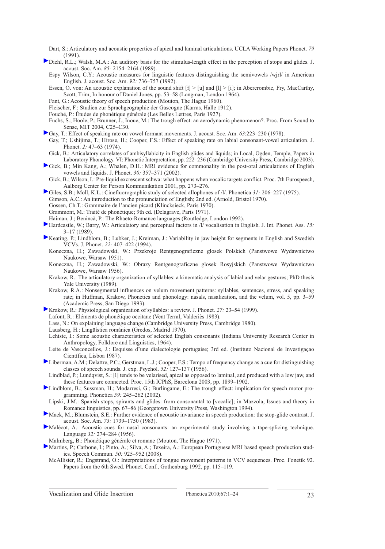Dart, S.: Articulatory and acoustic properties of apical and laminal articulations. UCLA Working Papers Phonet. *79*  $(1991)$ 

- Diehl, R.L.; Walsh, M.A.: An auditory basis for the stimulus-length effect in the perception of stops and glides. J. acoust. Soc. Am. *85:* 2154–2164 (1989).
	- Espy Wilson, C.Y.: Acoustic measures for linguistic features distinguishing the semivowels /wjrl/ in American English. J. acoust. Soc. Am. *92:* 736–757 (1992).
	- Essen, O. von: An acoustic explanation of the sound shift  $\{t\} > [u]$  and  $\{1\} > [i]$ ; in Abercrombie, Fry, MacCarthy, Scott, Trim, In honour of Daniel Jones, pp. 53–58 (Longman, London 1964).
	- Fant, G.: Acoustic theory of speech production (Mouton, The Hague 1960).
	- Fleischer, F.: Studien zur Sprachgeographie der Gascogne (Karras, Halle 1912).
	- Fouché, P.: Études de phonétique générale (Les Belles Lettres, Paris 1927).
	- Fuchs, S.; Hoole, P.; Brunner, J.; Inoue, M.: The trough effect: an aerodynamic phenomenon?. Proc. From Sound to Sense, MIT 2004, C25–C30.
- Gay, T.: Effect of speaking rate on vowel formant movements. J. acoust. Soc. Am. *63*:223–230 (1978).
- Gay, T.; Ushijima, T.; Hirose, H.; Cooper, F.S.: Effect of speaking rate on labial consonant-vowel articulation. J. Phonet. *2:* 47–63 (1974).
- Gick, B.: Articulatory correlates of ambisyllabicity in English glides and liquids; in Local, Ogden, Temple, Papers in Laboratory Phonology. VI: Phonetic Interpretation, pp. 222–236 (Cambridge University Press, Cambridge 2003).
- Gick, B.; Min Kang, A.; Whalen, D.H.: MRI evidence for commonality in the post-oral articulations of English vowels and liquids. J. Phonet. *30:* 357–371 (2002).
- Gick, B.; Wilson, I.: Pre-liquid excrescent schwa: what happens when vocalic targets conflict. Proc. 7th Eurospeech, Aalborg Center for Person Kommunikation 2001, pp. 273–276.
- Giles, S.B.; Moll, K.L.: Cinefluorographic study of selected allophones of /l/. Phonetica 31: 206–227 (1975).
- Gimson, A.C.: An introduction to the pronunciation of English; 2nd ed. (Arnold, Bristol 1970).
	- Gossen, Ch.T.: Grammaire de l'ancien picard (Klincksieck, Paris 1970).
	- Grammont, M.: Traité de phonétique; 9th ed. (Delagrave, Paris 1971).
- Haiman, J.; Benincà, P.: The Rhaeto-Romance languages (Routledge, London 1992).
- Hardcastle, W.; Barry, W.: Articulatory and perceptual factors in /l/ vocalisation in English. J. Int. Phonet. Ass. 15: 3–17 (1989).
- Keating, P.; Lindblom, B.; Lubker, J.; Kreiman, J.: Variability in jaw height for segments in English and Swedish VCVs. J. Phonet. *22:* 407–422 (1994).
	- Koneczna, H.; Zawadowski, W.: Przekroje Rentgenograficzne glosek Polskich (Panstwowe Wydawnictwo Naukowe, Warsaw 1951).
	- Koneczna, H.; Zawadowski, W.: Obrazy Rentgenograficzne glosek Rosyjskich (Panstwowe Wydawnictwo Naukowe, Warsaw 1956).
	- Krakow, R.: The articulatory organization of syllables: a kinematic analysis of labial and velar gestures; PhD thesis Yale University (1989).
	- Krakow, R.A.: Nonsegmental influences on velum movement patterns: syllables, sentences, stress, and speaking rate; in Huffman, Krakow, Phonetics and phonology: nasals, nasalization, and the velum, vol. 5, pp. 3–59 (Academic Press, San Diego 1993).
- Krakow, R.: Physiological organization of syllables: a review. J. Phonet. *27:* 23–54 (1999).
	- Lafont, R.: Eléments de phonétique occitane (Vent Terral, Valderiès 1983).
	- Lass, N.: On explaining language change (Cambridge University Press, Cambridge 1980).
	- Lausberg, H.: Lingüística románica (Gredos, Madrid 1970).
	- Lehiste, I.: Some acoustic characteristics of selected English consonants (Indiana University Research Center in Anthropology, Folklore and Linguistics, 1964).
- Leite de Vasconcellos, J.: Esquisse d'une dialectologie portugaise; 3rd ed. (Instituto Nacional de Investigaçao Científica, Lisboa 1987).
- Liberman, A.M.; Delattre, P.C.; Gerstman, L.J.; Cooper, F.S.: Tempo of frequency change as a cue for distinguishing classes of speech sounds. J. exp. Psychol. *52:* 127–137 (1956).
- Lindblad, P.; Lundqvist, S.: [1] tends to be velarised, apical as opposed to laminal, and produced with a low jaw, and these features are connected. Proc. 15th ICPhS, Barcelona 2003, pp. 1899–1902.
- Lindblom, B.; Sussman, H.; Modarresi, G.; Burlingame, E.: The trough effect: implication for speech motor programming. Phonetica *59:* 245–262 (2002).
- Lipski, J.M.: Spanish stops, spirants and glides: from consonantal to [vocalic]; in Mazzola, Issues and theory in Romance linguistics, pp. 67–86 (Georgetown University Press, Washington 1994).
- Mack, M.; Blumstein, S.E.: Further evidence of acoustic invariance in speech production: the stop-glide contrast. J. acoust. Soc. Am. *73:* 1739–1750 (1983).
- Malécot, A.: Acoustic cues for nasal consonants: an experimental study involving a tape-splicing technique. Language *32:* 274–284 (1956).
- Malmberg, B.: Phonétique générale et romane (Mouton, The Hague 1971).
- Martins, P.; Carbone, I.; Pinto, A.; Silva, A.; Texeira, A.: European Portuguese MRI based speech production studies. Speech Commun. *50:* 925–952 (2008).
- McAllister, R.; Engstrand, O.: Interpretations of tongue movement patterns in VCV sequences. Proc. Fonetik 92. Papers from the 6th Swed. Phonet. Conf., Gothenburg 1992, pp. 115–119.